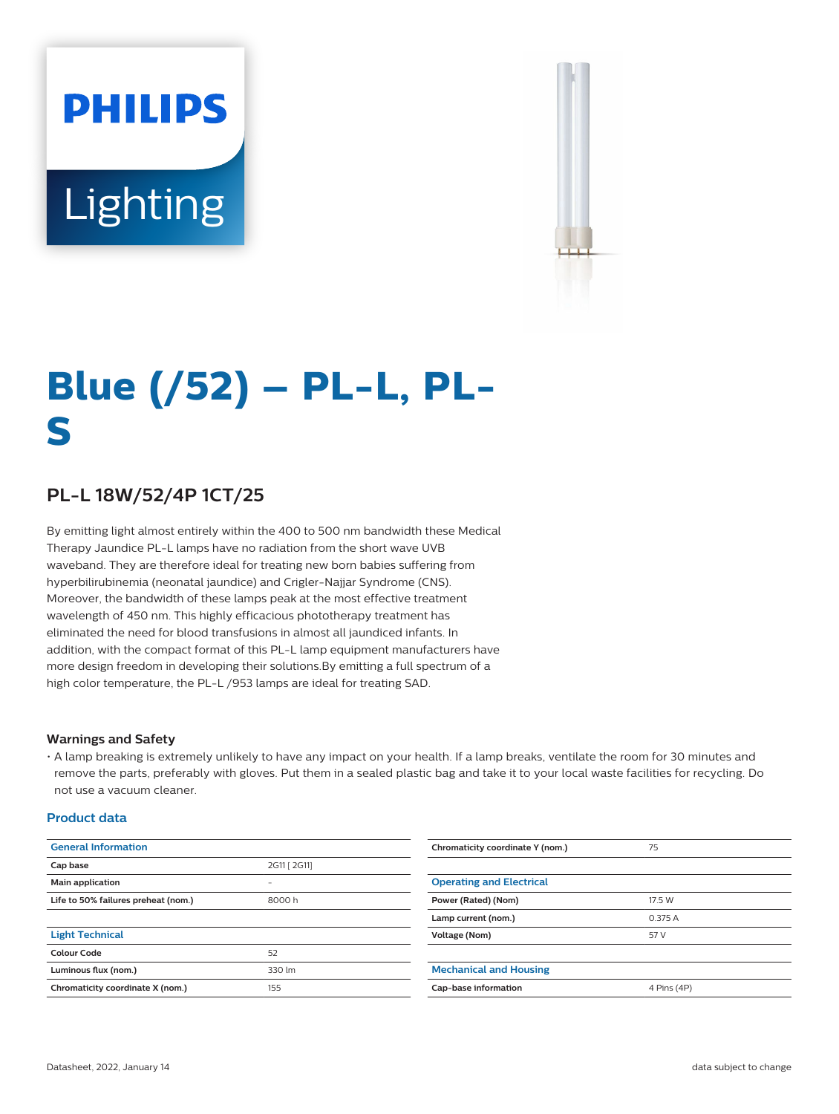# **PHILIPS** Lighting



# **Blue (/52) – PL-L, PL-S**

## **PL-L 18W/52/4P 1CT/25**

By emitting light almost entirely within the 400 to 500 nm bandwidth these Medical Therapy Jaundice PL-L lamps have no radiation from the short wave UVB waveband. They are therefore ideal for treating new born babies suffering from hyperbilirubinemia (neonatal jaundice) and Crigler-Najjar Syndrome (CNS). Moreover, the bandwidth of these lamps peak at the most effective treatment wavelength of 450 nm. This highly efficacious phototherapy treatment has eliminated the need for blood transfusions in almost all jaundiced infants. In addition, with the compact format of this PL-L lamp equipment manufacturers have more design freedom in developing their solutions.By emitting a full spectrum of a high color temperature, the PL-L /953 lamps are ideal for treating SAD.

#### **Warnings and Safety**

• A lamp breaking is extremely unlikely to have any impact on your health. If a lamp breaks, ventilate the room for 30 minutes and remove the parts, preferably with gloves. Put them in a sealed plastic bag and take it to your local waste facilities for recycling. Do not use a vacuum cleaner.

#### **Product data**

| <b>General Information</b>          |                          | Chromaticity coordinate Y (nom.) | 75          |
|-------------------------------------|--------------------------|----------------------------------|-------------|
| Cap base                            | 2G11 [ 2G11]             |                                  |             |
| Main application                    | $\overline{\phantom{0}}$ | <b>Operating and Electrical</b>  |             |
| Life to 50% failures preheat (nom.) | 8000h                    | Power (Rated) (Nom)              | 17.5 W      |
|                                     |                          | Lamp current (nom.)              | 0.375 A     |
| <b>Light Technical</b>              |                          | Voltage (Nom)                    | 57 V        |
| <b>Colour Code</b>                  | 52                       |                                  |             |
| Luminous flux (nom.)                | 330 lm                   | <b>Mechanical and Housing</b>    |             |
| Chromaticity coordinate X (nom.)    | 155                      | Cap-base information             | 4 Pins (4P) |